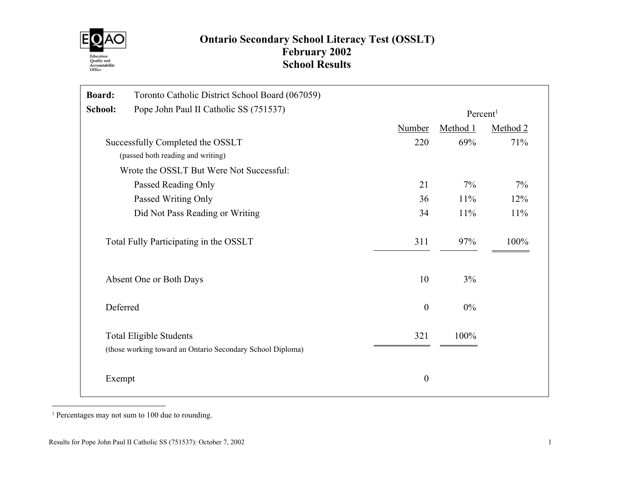

# Ontario Secondary School Literacy Test (OSSLT) February 2002 School Results

| <b>Board:</b> | Toronto Catholic District School Board (067059)                                              |                  |                      |          |  |  |  |
|---------------|----------------------------------------------------------------------------------------------|------------------|----------------------|----------|--|--|--|
| School:       | Pope John Paul II Catholic SS (751537)                                                       |                  | Percent <sup>1</sup> |          |  |  |  |
|               |                                                                                              | <b>Number</b>    | Method 1             | Method 2 |  |  |  |
|               | Successfully Completed the OSSLT                                                             | 220              | 69%                  | 71%      |  |  |  |
|               | (passed both reading and writing)                                                            |                  |                      |          |  |  |  |
|               | Wrote the OSSLT But Were Not Successful:                                                     |                  |                      |          |  |  |  |
|               | Passed Reading Only                                                                          | 21               | 7%                   | 7%       |  |  |  |
|               | Passed Writing Only                                                                          | 36               | 11%                  | 12%      |  |  |  |
|               | Did Not Pass Reading or Writing                                                              | 34               | 11%                  | 11%      |  |  |  |
|               | Total Fully Participating in the OSSLT                                                       | 311              | 97%                  | 100%     |  |  |  |
|               | Absent One or Both Days                                                                      | 10               | $3\%$                |          |  |  |  |
|               | Deferred                                                                                     | $\boldsymbol{0}$ | $0\%$                |          |  |  |  |
|               | <b>Total Eligible Students</b><br>(those working toward an Ontario Secondary School Diploma) | 321              | 100%                 |          |  |  |  |
| Exempt        |                                                                                              | $\boldsymbol{0}$ |                      |          |  |  |  |

1 Percentages may not sum to 100 due to rounding.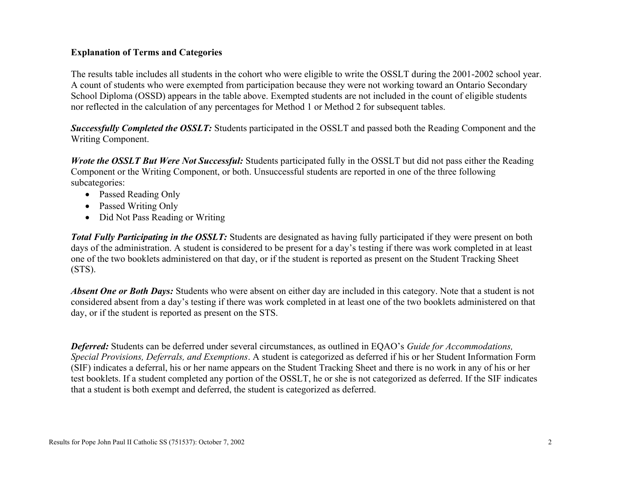### Explanation of Terms and Categories

The results table includes all students in the cohort who were eligible to write the OSSLT during the 2001-2002 school year. A count of students who were exempted from participation because they were not working toward an Ontario Secondary School Diploma (OSSD) appears in the table above. Exempted students are not included in the count of eligible students nor reflected in the calculation of any percentages for Method 1 or Method 2 for subsequent tables.

Successfully Completed the OSSLT: Students participated in the OSSLT and passed both the Reading Component and the Writing Component.

Wrote the OSSLT But Were Not Successful: Students participated fully in the OSSLT but did not pass either the Reading Component or the Writing Component, or both. Unsuccessful students are reported in one of the three following subcategories:

- Passed Reading Only
- Passed Writing Only
- Did Not Pass Reading or Writing

**Total Fully Participating in the OSSLT:** Students are designated as having fully participated if they were present on both days of the administration. A student is considered to be present for a day's testing if there was work completed in at least one of the two booklets administered on that day, or if the student is reported as present on the Student Tracking Sheet (STS).

Absent One or Both Days: Students who were absent on either day are included in this category. Note that a student is not considered absent from a day's testing if there was work completed in at least one of the two booklets administered on that day, or if the student is reported as present on the STS.

Deferred: Students can be deferred under several circumstances, as outlined in EQAO's Guide for Accommodations, Special Provisions, Deferrals, and Exemptions. A student is categorized as deferred if his or her Student Information Form (SIF) indicates a deferral, his or her name appears on the Student Tracking Sheet and there is no work in any of his or her test booklets. If a student completed any portion of the OSSLT, he or she is not categorized as deferred. If the SIF indicates that a student is both exempt and deferred, the student is categorized as deferred.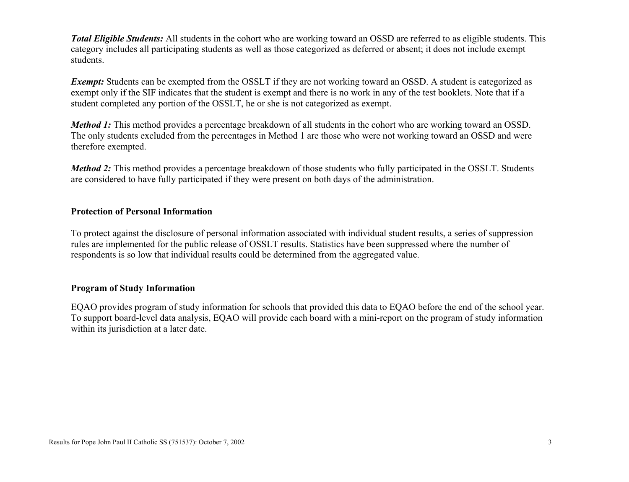Total Eligible Students: All students in the cohort who are working toward an OSSD are referred to as eligible students. This category includes all participating students as well as those categorized as deferred or absent; it does not include exempt students.

Exempt: Students can be exempted from the OSSLT if they are not working toward an OSSD. A student is categorized as exempt only if the SIF indicates that the student is exempt and there is no work in any of the test booklets. Note that if a student completed any portion of the OSSLT, he or she is not categorized as exempt.

Method 1: This method provides a percentage breakdown of all students in the cohort who are working toward an OSSD. The only students excluded from the percentages in Method 1 are those who were not working toward an OSSD and were therefore exempted.

Method 2: This method provides a percentage breakdown of those students who fully participated in the OSSLT. Students are considered to have fully participated if they were present on both days of the administration.

#### Protection of Personal Information

To protect against the disclosure of personal information associated with individual student results, a series of suppression rules are implemented for the public release of OSSLT results. Statistics have been suppressed where the number of respondents is so low that individual results could be determined from the aggregated value.

## Program of Study Information

EQAO provides program of study information for schools that provided this data to EQAO before the end of the school year. To support board-level data analysis, EQAO will provide each board with a mini-report on the program of study information within its jurisdiction at a later date.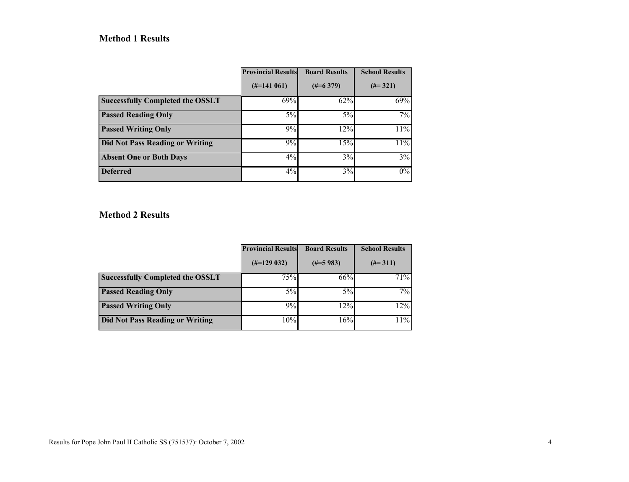## Method 1 Results

|                                         | <b>Provincial Results</b> | <b>Board Results</b> | <b>School Results</b> |
|-----------------------------------------|---------------------------|----------------------|-----------------------|
|                                         | $(\text{\#} = 141\,061)$  | $(\#=6\;379)$        | $(\#=321)$            |
| <b>Successfully Completed the OSSLT</b> | 69%                       | 62%                  | 69%                   |
| <b>Passed Reading Only</b>              | $5\%$                     | $5\%$                | 7%                    |
| <b>Passed Writing Only</b>              | 9%                        | 12%                  | 11%                   |
| <b>Did Not Pass Reading or Writing</b>  | 9%                        | 15%                  | 11%                   |
| <b>Absent One or Both Days</b>          | $4\%$                     | 3%                   | 3%                    |
| <b>Deferred</b>                         | 4%                        | 3%                   | $0\%$                 |

## Method 2 Results

|                                         | <b>Provincial Results</b> | <b>Board Results</b> | <b>School Results</b> |
|-----------------------------------------|---------------------------|----------------------|-----------------------|
|                                         | $(\#=129032)$             | $(\#=5983)$          | $(\#=311)$            |
| <b>Successfully Completed the OSSLT</b> | 75%                       | 66%                  | 71%                   |
| <b>Passed Reading Only</b>              | $5\%$                     | 5%                   | 7%                    |
| <b>Passed Writing Only</b>              | 9%                        | 12%                  | 12%                   |
| Did Not Pass Reading or Writing         | 10%                       | 16%                  | 11%                   |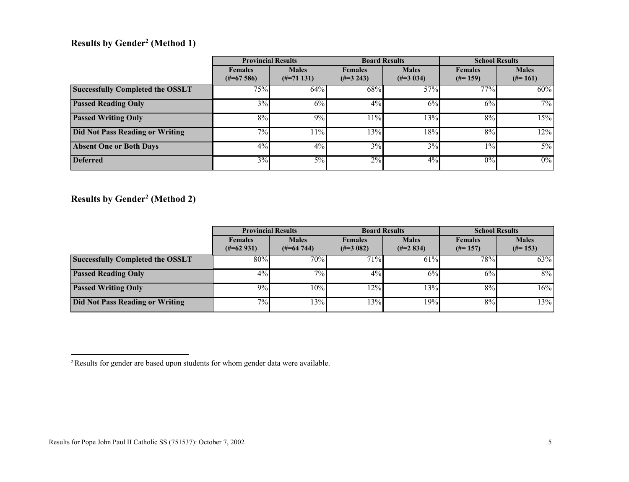### Results by Gender<sup>2</sup> (Method 1)

|                                         |                                         | <b>Provincial Results</b>      |                                 | <b>Board Results</b>        | <b>School Results</b>        |                            |
|-----------------------------------------|-----------------------------------------|--------------------------------|---------------------------------|-----------------------------|------------------------------|----------------------------|
|                                         | <b>Females</b><br>$(\text{\#} = 67586)$ | <b>Males</b><br>$(\#=71\;131)$ | <b>Females</b><br>$(\#=3\;243)$ | <b>Males</b><br>$(\#=3034)$ | <b>Females</b><br>$(\#=159)$ | <b>Males</b><br>$(\#=161)$ |
| <b>Successfully Completed the OSSLT</b> | $75\%$                                  | 64%                            | 68%                             | 57%                         | 77%                          | 60%                        |
| <b>Passed Reading Only</b>              | $3\%$                                   | 6%                             | 4%                              | 6%                          | 6%                           | 7%                         |
| <b>Passed Writing Only</b>              | 8%                                      | 9%                             | 11%                             | 13%                         | 8%                           | 15%                        |
| Did Not Pass Reading or Writing         | $\overline{7\%}$                        | 11%                            | $13\overline{\%}$               | $18\overline{°}$            | 8%                           | 12%                        |
| <b>Absent One or Both Days</b>          | $4\%$                                   | $4\%$                          | 3%                              | 3%                          | $1\%$                        | $5\%$                      |
| <b>Deferred</b>                         | $3\sqrt{6}$                             | $5\%$                          | 2%                              | $4\%$                       | 0%                           | $0\%$                      |

Results by Gender<sup>2</sup> (Method 2)

|                                         | <b>Provincial Results</b>               |                                         | <b>Board Results</b>                 |                               | <b>School Results</b>        |                            |  |
|-----------------------------------------|-----------------------------------------|-----------------------------------------|--------------------------------------|-------------------------------|------------------------------|----------------------------|--|
|                                         | <b>Females</b><br>$(\text{\#} = 62931)$ | <b>Males</b><br>$(\text{\#} = 64\ 744)$ | <b>Females</b><br>$(\text{\#}3 082)$ | <b>Males</b><br>$(\#=2\ 834)$ | <b>Females</b><br>$(\#=157)$ | <b>Males</b><br>$(\#=153)$ |  |
| <b>Successfully Completed the OSSLT</b> | 80%                                     | $70\%$                                  | 71%                                  | 61%                           | 78%                          | 63%                        |  |
| <b>Passed Reading Only</b>              | 4%                                      | $7\%$                                   | 4%                                   | 6%                            | 6%                           | $8\%$                      |  |
| <b>Passed Writing Only</b>              | $9\%$                                   | 10%                                     | 12%                                  | 13%                           | 8%                           | 16%                        |  |
| Did Not Pass Reading or Writing         | $7\%$                                   | 13%                                     | 13%                                  | 19%                           | 8%                           | $13\overline{\%}$          |  |

<sup>&</sup>lt;sup>2</sup> Results for gender are based upon students for whom gender data were available.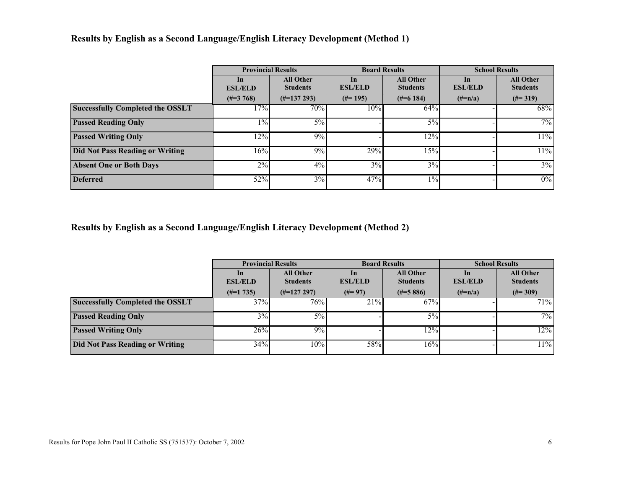## Results by English as a Second Language/English Literacy Development (Method 1)

|                                         | <b>Provincial Results</b>   |                                     |                             | <b>Board Results</b>                | <b>School Results</b> |                                     |  |  |
|-----------------------------------------|-----------------------------|-------------------------------------|-----------------------------|-------------------------------------|-----------------------|-------------------------------------|--|--|
|                                         | <b>In</b><br><b>ESL/ELD</b> | <b>All Other</b><br><b>Students</b> | <b>In</b><br><b>ESL/ELD</b> | <b>All Other</b><br><b>Students</b> | In<br><b>ESL/ELD</b>  | <b>All Other</b><br><b>Students</b> |  |  |
|                                         | $(\text{\#}3768)$           | $(\text{\#} = 137\ 293)$            | $(\#=195)$                  | $(\text{\#} = 6184)$                | $(\#=n/a)$            | $(\#=319)$                          |  |  |
| <b>Successfully Completed the OSSLT</b> | 17%                         | $70\%$                              | 10%                         | 64%                                 |                       | 68%                                 |  |  |
| <b>Passed Reading Only</b>              | $1\%$                       | $5\%$                               |                             | $5\%$                               |                       | $7\%$                               |  |  |
| <b>Passed Writing Only</b>              | 12%                         | 9%                                  |                             | 12%                                 |                       | 11%                                 |  |  |
| <b>Did Not Pass Reading or Writing</b>  | $16\overline{\%}$           | 9%                                  | 29%                         | 15%                                 |                       | 11%                                 |  |  |
| <b>Absent One or Both Days</b>          | 2%                          | $4\%$                               | 3%                          | 3%                                  |                       | 3%                                  |  |  |
| <b>Deferred</b>                         | 52%                         | 3%                                  | 47%                         | $1\%$                               |                       | $0\%$                               |  |  |

Results by English as a Second Language/English Literacy Development (Method 2)

|                                         |                                 | <b>Provincial Results</b>           |                         | <b>Board Results</b>                | <b>School Results</b>           |                                     |  |
|-----------------------------------------|---------------------------------|-------------------------------------|-------------------------|-------------------------------------|---------------------------------|-------------------------------------|--|
|                                         | $\mathbf{ln}$<br><b>ESL/ELD</b> | <b>All Other</b><br><b>Students</b> | $\ln$<br><b>ESL/ELD</b> | <b>All Other</b><br><b>Students</b> | $\mathbf{ln}$<br><b>ESL/ELD</b> | <b>All Other</b><br><b>Students</b> |  |
|                                         | $(\#=1\,735)$                   | $(\#=127\;297)$                     | $(\#=97)$               | $(\text{\#} = 5886)$                | $(\#=n/a)$                      | $(\#=309)$                          |  |
| <b>Successfully Completed the OSSLT</b> | 37%                             | 76%                                 | 21%                     | 67%                                 |                                 | 71%                                 |  |
| <b>Passed Reading Only</b>              | 3%                              | 5%                                  |                         | 5%                                  |                                 | $7\sqrt{6}$                         |  |
| <b>Passed Writing Only</b>              | 26%                             | 9%                                  |                         | 12%                                 |                                 | 12%                                 |  |
| <b>Did Not Pass Reading or Writing</b>  | 34%                             | 10%                                 | 58%                     | 16%                                 |                                 | 11%                                 |  |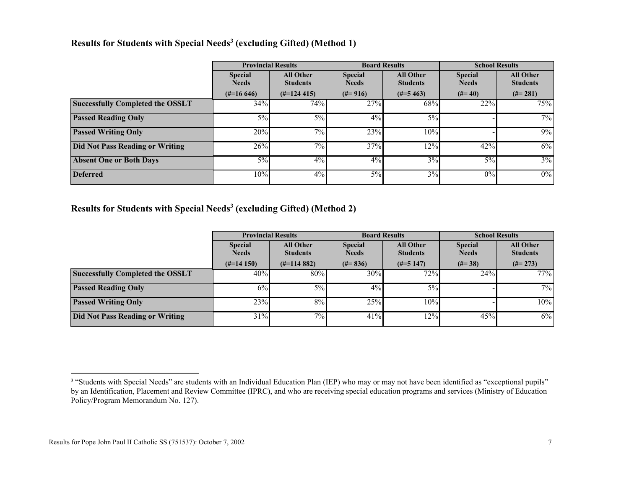#### Results for Students with Special Needs<sup>3</sup> (excluding Gifted) (Method 1)

|                                         | <b>Provincial Results</b>      |                                     |                                | <b>Board Results</b>                |                                | <b>School Results</b>               |
|-----------------------------------------|--------------------------------|-------------------------------------|--------------------------------|-------------------------------------|--------------------------------|-------------------------------------|
|                                         | <b>Special</b><br><b>Needs</b> | <b>All Other</b><br><b>Students</b> | <b>Special</b><br><b>Needs</b> | <b>All Other</b><br><b>Students</b> | <b>Special</b><br><b>Needs</b> | <b>All Other</b><br><b>Students</b> |
|                                         | $(\text{\#}=16\,646)$          | $(\text{\#} = 124\ 415)$            | $(\#=916)$                     | $(\text{\#} = 5463)$                | $(#=40)$                       | $(\#=281)$                          |
| <b>Successfully Completed the OSSLT</b> | 34%                            | 74%                                 | 27%                            | 68%                                 | 22%                            | 75%                                 |
| <b>Passed Reading Only</b>              | $5\%$                          | $5\%$                               | 4%                             | $5\%$                               |                                | $7\%$                               |
| <b>Passed Writing Only</b>              | 20%                            | $7\%$                               | 23%                            | 10%                                 |                                | 9%                                  |
| <b>Did Not Pass Reading or Writing</b>  | 26%                            | 7%                                  | 37%                            | 12%                                 | 42%                            | 6%                                  |
| <b>Absent One or Both Days</b>          | $5\%$                          | $4\%$                               | 4%                             | 3%                                  | $5\%$                          | 3%                                  |
| <b>Deferred</b>                         | 10%                            | $4\%$                               | $5\%$                          | 3%                                  | 0%                             | $0\%$                               |

Results for Students with Special Needs<sup>3</sup> (excluding Gifted) (Method 2)

|                                         | <b>Provincial Results</b>      |                                     |                                | <b>Board Results</b>                | <b>School Results</b>          |                                     |  |
|-----------------------------------------|--------------------------------|-------------------------------------|--------------------------------|-------------------------------------|--------------------------------|-------------------------------------|--|
|                                         | <b>Special</b><br><b>Needs</b> | <b>All Other</b><br><b>Students</b> | <b>Special</b><br><b>Needs</b> | <b>All Other</b><br><b>Students</b> | <b>Special</b><br><b>Needs</b> | <b>All Other</b><br><b>Students</b> |  |
|                                         | $(\#=14150)$                   | $(\text{\#} = 114882)$              | $(\#=836)$                     | $(\#=5\;147)$                       | $(\#=38)$                      | $(\#=273)$                          |  |
| <b>Successfully Completed the OSSLT</b> | 40%                            | 80%                                 | 30%                            | $72\%$                              | 24%                            | 77%                                 |  |
| <b>Passed Reading Only</b>              | $6\%$                          | $5\%$                               | 4%                             | 5%                                  |                                | $7\%$                               |  |
| <b>Passed Writing Only</b>              | 23%                            | 8%                                  | 25%                            | 10%                                 |                                | 10%                                 |  |
| <b>Did Not Pass Reading or Writing</b>  | 31%                            | 7%                                  | 41%                            | 12%                                 | 45%                            | $6\%$                               |  |

<sup>&</sup>lt;sup>3</sup> "Students with Special Needs" are students with an Individual Education Plan (IEP) who may or may not have been identified as "exceptional pupils" by an Identification, Placement and Review Committee (IPRC), and who are receiving special education programs and services (Ministry of Education Policy/Program Memorandum No. 127).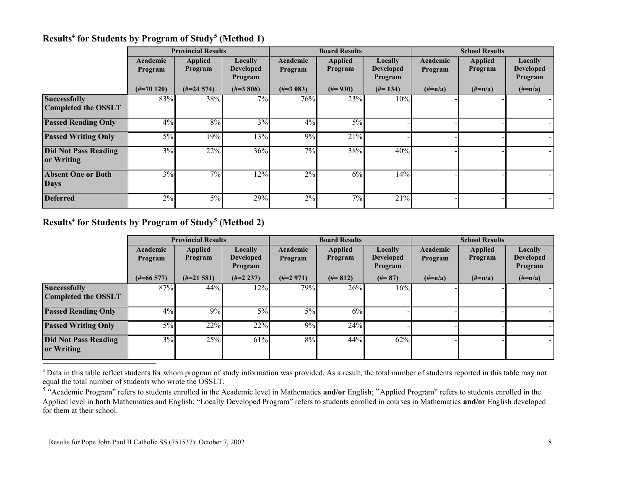|                                                   |                       | <b>Provincial Results</b> |                                        |                     | <b>Board Results</b>      |                                               |                     | <b>School Results</b>     |                                        |
|---------------------------------------------------|-----------------------|---------------------------|----------------------------------------|---------------------|---------------------------|-----------------------------------------------|---------------------|---------------------------|----------------------------------------|
|                                                   | Academic<br>Program   | <b>Applied</b><br>Program | Locally<br><b>Developed</b><br>Program | Academic<br>Program | <b>Applied</b><br>Program | <b>Locally</b><br><b>Developed</b><br>Program | Academic<br>Program | <b>Applied</b><br>Program | Locally<br><b>Developed</b><br>Program |
|                                                   | $(\text{\#} = 70120)$ | $(\#=24\;574)$            | $(\#=3806)$                            | $(\#=3083)$         | $(\#=930)$                | $(\#=134)$                                    | $(\#=n/a)$          | $(\#=n/a)$                | $(\#=n/a)$                             |
| <b>Successfully</b><br><b>Completed the OSSLT</b> | 83%                   | 38%                       | $7\%$                                  | 76%                 | 23%                       | 10%                                           |                     |                           |                                        |
| <b>Passed Reading Only</b>                        | 4%                    | 8%                        | 3%                                     | $4\%$               | 5%                        |                                               |                     |                           |                                        |
| <b>Passed Writing Only</b>                        | $5\%$                 | 19%                       | 13%                                    | 9%                  | 21%                       |                                               |                     |                           |                                        |
| <b>Did Not Pass Reading</b><br>or Writing         | $3\%$                 | 22%                       | 36%                                    | 7%                  | 38%                       | 40%                                           |                     |                           |                                        |
| <b>Absent One or Both</b><br><b>Days</b>          | $3\%$                 | 7%                        | 12%                                    | $2\%$               | 6%                        | 14%                                           |                     |                           |                                        |
| <b>Deferred</b>                                   | 2%                    | 5%                        | 29%                                    | 2%                  | 7%                        | 21%                                           |                     |                           |                                        |

## Results<sup>4</sup> for Students by Program of Study<sup>5</sup> (Method 1)

#### Results<sup>4</sup> for Students by Program of Study<sup>5</sup> (Method 2)

|                                                   |                     | <b>Provincial Results</b> |                                        |                     | <b>Board Results</b>      |                                        |                     | <b>School Results</b>     |                                        |
|---------------------------------------------------|---------------------|---------------------------|----------------------------------------|---------------------|---------------------------|----------------------------------------|---------------------|---------------------------|----------------------------------------|
|                                                   | Academic<br>Program | <b>Applied</b><br>Program | Locally<br><b>Developed</b><br>Program | Academic<br>Program | <b>Applied</b><br>Program | Locally<br><b>Developed</b><br>Program | Academic<br>Program | <b>Applied</b><br>Program | Locally<br><b>Developed</b><br>Program |
|                                                   | $(\#=66\;577)$      | $(\#=21\;581)$            | $(\#=2\;237)$                          | $(\#=2971)$         | $(#=812)$                 | $(\#=87)$                              | $(\# = n/a)$        | $(\#=n/a)$                | $(\#=n/a)$                             |
| <b>Successfully</b><br><b>Completed the OSSLT</b> | 87%                 | 44%                       | 12%                                    | 79%                 | 26%                       | 16%                                    |                     |                           |                                        |
| <b>Passed Reading Only</b>                        | $4\%$               | 9%                        | $5\%$                                  | $5\%$               | 6%                        |                                        |                     |                           |                                        |
| <b>Passed Writing Only</b>                        | $5\%$               | 22%                       | $22\%$                                 | 9%                  | 24%                       |                                        |                     |                           |                                        |
| <b>Did Not Pass Reading</b><br>or Writing         | $3\sqrt{6}$         | 25%                       | 61%                                    | 8%                  | 44%                       | 62%                                    |                     |                           |                                        |

<sup>4</sup> Data in this table reflect students for whom program of study information was provided. As a result, the total number of students reported in this table may not equal the total number of students who wrote the OSSLT.

<sup>5</sup> "Academic Program" refers to students enrolled in the Academic level in Mathematics and/or English; "Applied Program" refers to students enrolled in the Applied level in both Mathematics and English; "Locally Developed Program" refers to students enrolled in courses in Mathematics and/or English developed for them at their school.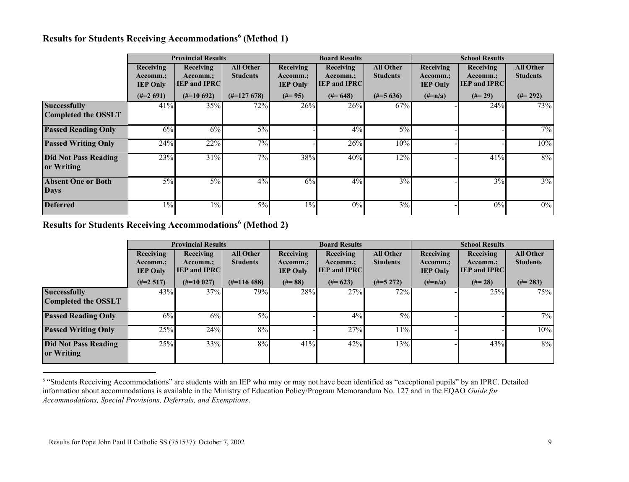#### Results for Students Receiving Accommodations<sup>6</sup> (Method 1)

|                                                   |                                          | <b>Provincial Results</b>                    |                                     |                                          | <b>Board Results</b>                         |                                     |                                          | <b>School Results</b>                        |                                     |
|---------------------------------------------------|------------------------------------------|----------------------------------------------|-------------------------------------|------------------------------------------|----------------------------------------------|-------------------------------------|------------------------------------------|----------------------------------------------|-------------------------------------|
|                                                   | Receiving<br>Accomm.;<br><b>IEP Only</b> | Receiving<br>Accomm.;<br><b>IEP and IPRC</b> | <b>All Other</b><br><b>Students</b> | Receiving<br>Accomm.;<br><b>IEP Only</b> | Receiving<br>Accomm.;<br><b>IEP and IPRC</b> | <b>All Other</b><br><b>Students</b> | Receiving<br>Accomm.;<br><b>IEP Only</b> | Receiving<br>Accomm.;<br><b>IEP and IPRC</b> | <b>All Other</b><br><b>Students</b> |
|                                                   | $(\#=2\ 691)$                            | $(\#=10\,692)$                               | $(\text{\#} = 127\ 678)$            | $(\#=95)$                                | $(\#=648)$                                   | $(\#=5636)$                         | $(\#=n/a)$                               | $(#=29)$                                     | $(\#=292)$                          |
| <b>Successfully</b><br><b>Completed the OSSLT</b> | 41%                                      | 35%                                          | 72%                                 | 26%                                      | 26%                                          | 67%                                 |                                          | 24%                                          | 73%                                 |
| <b>Passed Reading Only</b>                        | 6%                                       | 6%                                           | $5\%$                               |                                          | $4\%$                                        | $5\%$                               |                                          |                                              | $7\%$                               |
| <b>Passed Writing Only</b>                        | 24%                                      | 22%                                          | 7%                                  |                                          | 26%                                          | 10%                                 |                                          |                                              | 10%                                 |
| <b>Did Not Pass Reading</b><br>or Writing         | 23%                                      | 31%                                          | $7\%$                               | 38%                                      | 40%                                          | 12%                                 |                                          | 41%                                          | 8%                                  |
| <b>Absent One or Both</b><br><b>Days</b>          | $5\%$                                    | $5\%$                                        | $4\%$                               | 6%                                       | $4\%$                                        | 3%                                  |                                          | 3%                                           | $3\%$                               |
| <b>Deferred</b>                                   | $1\%$                                    | $1\%$                                        | $5\%$                               | $1\%$                                    | $0\%$                                        | 3%                                  |                                          | 0%                                           | $0\%$                               |

#### Results for Students Receiving Accommodations<sup>6</sup> (Method 2)

|                                                   |                                          | <b>Provincial Results</b>                    |                                     |                                          | <b>Board Results</b>                                |                                     | <b>School Results</b>                    |                                              |                                     |
|---------------------------------------------------|------------------------------------------|----------------------------------------------|-------------------------------------|------------------------------------------|-----------------------------------------------------|-------------------------------------|------------------------------------------|----------------------------------------------|-------------------------------------|
|                                                   | Receiving<br>Accomm.;<br><b>IEP Only</b> | Receiving<br>Accomm.;<br><b>IEP and IPRC</b> | <b>All Other</b><br><b>Students</b> | Receiving<br>Accomm.:<br><b>IEP Only</b> | <b>Receiving</b><br>Accomm.;<br><b>IEP and IPRC</b> | <b>All Other</b><br><b>Students</b> | Receiving<br>Accomm.;<br><b>IEP Only</b> | Receiving<br>Accomm.;<br><b>IEP and IPRC</b> | <b>All Other</b><br><b>Students</b> |
|                                                   | $(\#=2\;517)$                            | $(\#=10027)$                                 | $(\text{\#} = 11648)$               | $(#= 88)$                                | $(\#=623)$                                          | $(\#=5\;272)$                       | $(\#=n/a)$                               | $(\#=28)$                                    | $(\#=283)$                          |
| <b>Successfully</b><br><b>Completed the OSSLT</b> | 43%                                      | 37%                                          | 79%                                 | 28%                                      | 27%                                                 | 72%                                 |                                          | 25%                                          | 75%                                 |
| <b>Passed Reading Only</b>                        | 6%                                       | 6%                                           | $5\%$                               |                                          | $4\%$                                               | $5\%$                               |                                          |                                              | 7%                                  |
| <b>Passed Writing Only</b>                        | 25%                                      | $\sqrt{24\%}$                                | 8%                                  |                                          | 27%                                                 | 11%                                 |                                          |                                              | 10%                                 |
| <b>Did Not Pass Reading</b><br>or Writing         | 25%                                      | 33%                                          | 8%                                  | 41%                                      | 42%                                                 | 13%                                 |                                          | 43%                                          | $8\%$                               |

<sup>&</sup>lt;sup>6</sup> "Students Receiving Accommodations" are students with an IEP who may or may not have been identified as "exceptional pupils" by an IPRC. Detailed information about accommodations is available in the Ministry of Education Policy/Program Memorandum No. 127 and in the EQAO Guide for Accommodations, Special Provisions, Deferrals, and Exemptions.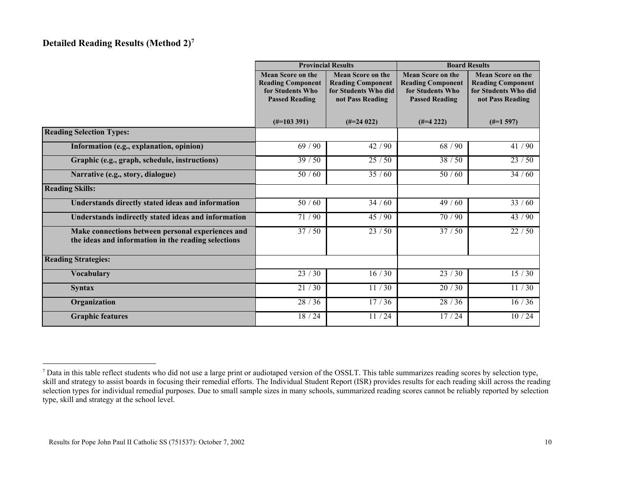## Detailed Reading Results (Method 2)<sup>7</sup>

|                                                                                                          |                          | <b>Provincial Results</b> | <b>Board Results</b>     |                          |  |
|----------------------------------------------------------------------------------------------------------|--------------------------|---------------------------|--------------------------|--------------------------|--|
|                                                                                                          | <b>Mean Score on the</b> | <b>Mean Score on the</b>  | <b>Mean Score on the</b> | <b>Mean Score on the</b> |  |
|                                                                                                          | <b>Reading Component</b> | <b>Reading Component</b>  | <b>Reading Component</b> | <b>Reading Component</b> |  |
|                                                                                                          | for Students Who         | for Students Who did      | for Students Who         | for Students Who did     |  |
|                                                                                                          | <b>Passed Reading</b>    | not Pass Reading          | <b>Passed Reading</b>    | not Pass Reading         |  |
|                                                                                                          |                          |                           |                          |                          |  |
|                                                                                                          |                          |                           |                          |                          |  |
|                                                                                                          | $(\text{\#} = 103\,391)$ | $(\text{\#}24022)$        | $(\#=4\;222)$            | $(\#=1\,597)$            |  |
| <b>Reading Selection Types:</b>                                                                          |                          |                           |                          |                          |  |
| Information (e.g., explanation, opinion)                                                                 | 69/90                    | 42/90                     | 68 / 90                  | 41 / 90                  |  |
| Graphic (e.g., graph, schedule, instructions)                                                            | 39/50                    | 25/50                     | 38 / 50                  | 23/50                    |  |
| Narrative (e.g., story, dialogue)                                                                        | 50/60                    | 35/60                     | 50/60                    | 34/60                    |  |
| <b>Reading Skills:</b>                                                                                   |                          |                           |                          |                          |  |
| Understands directly stated ideas and information                                                        | 50/60                    | 34/60                     | 49/60                    | 33/60                    |  |
| Understands indirectly stated ideas and information                                                      | 71/90                    | $\frac{1}{45}$ / 90       | 70/90                    | 43/90                    |  |
| Make connections between personal experiences and<br>the ideas and information in the reading selections | $\frac{1}{37}$ / 50      | 23/50                     | 37/50                    | 22/50                    |  |
| <b>Reading Strategies:</b>                                                                               |                          |                           |                          |                          |  |
| <b>Vocabulary</b>                                                                                        | 23/30                    | 16/30                     | 23/30                    | 15/30                    |  |
| <b>Syntax</b>                                                                                            | 21/30                    | 11/30                     | 20/30                    | 11/30                    |  |
| Organization                                                                                             | 28/36                    | 17/36                     | 28/36                    | 16/36                    |  |
| <b>Graphic features</b>                                                                                  | 18 / 24                  | 11/24                     | 17/24                    | 10/24                    |  |

 $<sup>7</sup>$  Data in this table reflect students who did not use a large print or audiotaped version of the OSSLT. This table summarizes reading scores by selection type,</sup> skill and strategy to assist boards in focusing their remedial efforts. The Individual Student Report (ISR) provides results for each reading skill across the reading selection types for individual remedial purposes. Due to small sample sizes in many schools, summarized reading scores cannot be reliably reported by selection type, skill and strategy at the school level.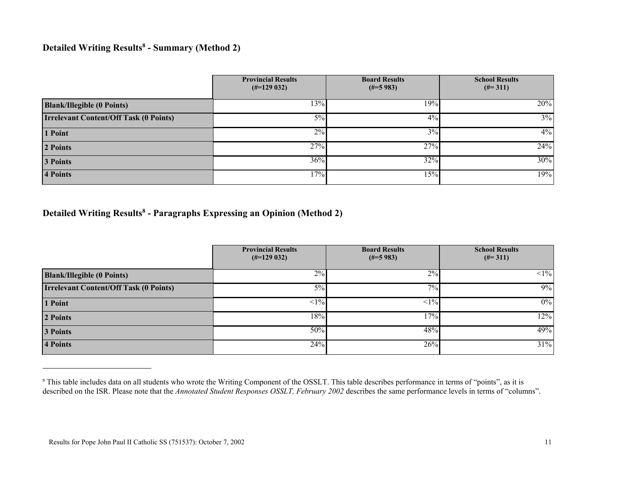#### Detailed Writing Results<sup>8</sup> - Summary (Method 2)

|                                               | <b>Provincial Results</b><br>$(\text{\#} = 129032)$ | <b>Board Results</b><br>$(\text{\#} = 5983)$ | <b>School Results</b><br>$(\#=311)$ |
|-----------------------------------------------|-----------------------------------------------------|----------------------------------------------|-------------------------------------|
| <b>Blank/Illegible (0 Points)</b>             | 13%                                                 | 19%                                          | 20%                                 |
| <b>Irrelevant Content/Off Task (0 Points)</b> | 5%                                                  | 4%                                           | $3\%$                               |
| 1 Point                                       | 2%                                                  | 3%                                           | 4%                                  |
| 2 Points                                      | 27%                                                 | $27\%$                                       | 24%                                 |
| 3 Points                                      | $36\%$                                              | 32%                                          | 30%                                 |
| 4 Points                                      | 17%                                                 | 15%                                          | 19%                                 |

## Detailed Writing Results<sup>8</sup> - Paragraphs Expressing an Opinion (Method 2)

|                                               | <b>Provincial Results</b><br>$(\text{\#} = 129032)$ | <b>Board Results</b><br>$(\text{\#} = 5983)$ | <b>School Results</b><br>$(\#=311)$ |
|-----------------------------------------------|-----------------------------------------------------|----------------------------------------------|-------------------------------------|
| <b>Blank/Illegible (0 Points)</b>             | 2%                                                  | 2%                                           | $<1\%$                              |
| <b>Irrelevant Content/Off Task (0 Points)</b> | $5\%$                                               | $7\overline{\%}$                             | 9%                                  |
| 1 Point                                       | $<1\%$                                              | $1\%$                                        | $0\%$                               |
| 2 Points                                      | 18%                                                 | 17%                                          | 12%                                 |
| 3 Points                                      | 50%                                                 | 48%                                          | 49%                                 |
| <b>4 Points</b>                               | 24%                                                 | 26%                                          | 31%                                 |

<sup>&</sup>lt;sup>8</sup> This table includes data on all students who wrote the Writing Component of the OSSLT. This table describes performance in terms of "points", as it is described on the ISR. Please note that the Annotated Student Responses OSSLT, February 2002 describes the same performance levels in terms of "columns".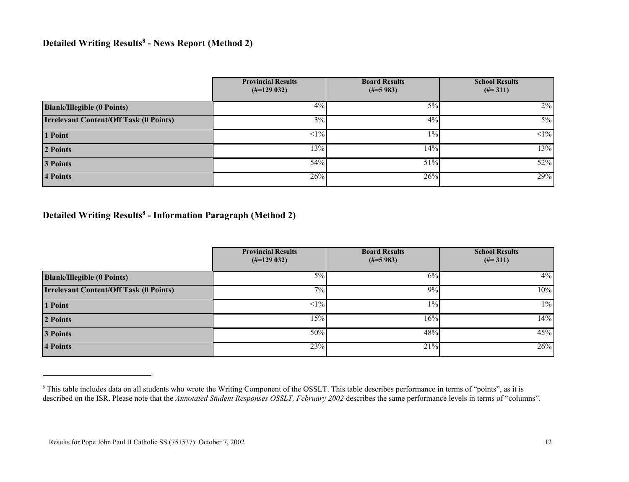### Detailed Writing Results<sup>8</sup> - News Report (Method 2)

|                                               | <b>Provincial Results</b><br>$(\text{\#} = 129032)$ | <b>Board Results</b><br>$(\text{\#} = 5983)$ | <b>School Results</b><br>$(\text{\#} = 311)$ |
|-----------------------------------------------|-----------------------------------------------------|----------------------------------------------|----------------------------------------------|
| <b>Blank/Illegible (0 Points)</b>             | 4%                                                  | 5%                                           | $2\%$                                        |
| <b>Irrelevant Content/Off Task (0 Points)</b> | 3%                                                  | $4\%$                                        | $5\%$                                        |
| 1 Point                                       | $1\%$                                               | $1\%$                                        | $1\%$                                        |
| 2 Points                                      | 13%                                                 | 14%                                          | 13%                                          |
| 3 Points                                      | 54%                                                 | 51%                                          | 52%                                          |
| 4 Points                                      | 26%                                                 | 26%                                          | 29%                                          |

#### Detailed Writing Results<sup>8</sup> - Information Paragraph (Method 2)

|                                               | <b>Provincial Results</b><br>$(\text{\#} = 129032)$ | <b>Board Results</b><br>$(\text{\#} = 5983)$ | <b>School Results</b><br>$(\#=311)$ |
|-----------------------------------------------|-----------------------------------------------------|----------------------------------------------|-------------------------------------|
| <b>Blank/Illegible (0 Points)</b>             | 5%                                                  | 6%                                           | $4\%$                               |
| <b>Irrelevant Content/Off Task (0 Points)</b> | 7%                                                  | 9%                                           | 10%                                 |
| 1 Point                                       | $<1\%$                                              | $1\%$                                        | $1\%$                               |
| 2 Points                                      | 15%                                                 | 16%                                          | 14%                                 |
| 3 Points                                      | 50%                                                 | 48%                                          | 45%                                 |
| 4 Points                                      | 23%                                                 | 21%                                          | 26%                                 |

<sup>&</sup>lt;sup>8</sup> This table includes data on all students who wrote the Writing Component of the OSSLT. This table describes performance in terms of "points", as it is described on the ISR. Please note that the Annotated Student Responses OSSLT, February 2002 describes the same performance levels in terms of "columns".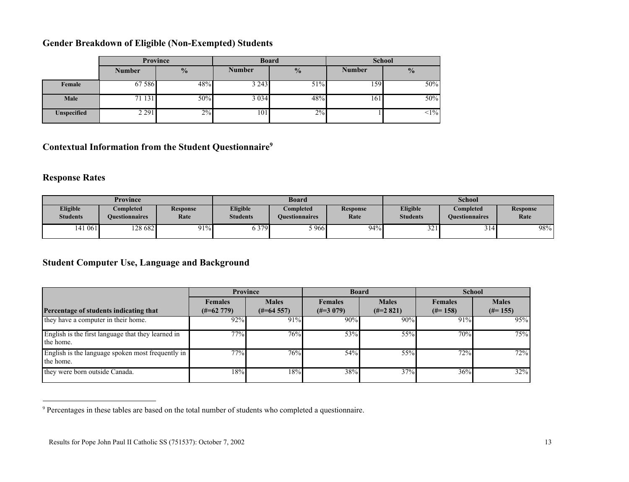## Gender Breakdown of Eligible (Non-Exempted) Students

|                    | Province      |               |               | <b>Board</b>  | <b>School</b> |               |  |
|--------------------|---------------|---------------|---------------|---------------|---------------|---------------|--|
|                    | <b>Number</b> | $\frac{0}{2}$ | <b>Number</b> | $\frac{0}{0}$ | <b>Number</b> | $\frac{0}{0}$ |  |
| Female             | 67 58 6       | 48%           | 3 2 4 3       | 51%           | 159           | 50%           |  |
| Male               | 71 131        | 50%           | 3 0 3 4       | 48%           | 161           | 50%           |  |
| <b>Unspecified</b> | 2 2 9 1       | 2%            | 101           | 2%            |               | $<1\%$        |  |

## Contextual Information from the Student Questionnaire<sup>9</sup>

## Response Rates

| <b>Province</b>                    |                                           |                         | <b>Board</b>                |                                           |                  | <b>School</b>                      |                                    |                         |
|------------------------------------|-------------------------------------------|-------------------------|-----------------------------|-------------------------------------------|------------------|------------------------------------|------------------------------------|-------------------------|
| <b>Eligible</b><br><b>Students</b> | <b>Completed</b><br><b>Ouestionnaires</b> | <b>Response</b><br>Rate | Eligible<br><b>Students</b> | <b>Completed</b><br><b>Ouestionnaires</b> | Response<br>Rate | <b>Eligible</b><br><b>Students</b> | <b>Completed</b><br>Ouestionnaires | <b>Response</b><br>Rate |
| 141061                             | 128 682                                   | $91\%$                  | 6 3 7 9                     | $-966$                                    | $94\%$           | $\sim$<br>، 22                     | 14٠ ن                              | 98%                     |

## Student Computer Use, Language and Background

|                                                                 | <b>Province</b>                           |                                       | <b>Board</b>                  |                             | <b>School</b>                |                            |
|-----------------------------------------------------------------|-------------------------------------------|---------------------------------------|-------------------------------|-----------------------------|------------------------------|----------------------------|
| Percentage of students indicating that                          | <b>Females</b><br>$(\text{\#} = 62\ 779)$ | <b>Males</b><br>$(\text{\#} = 64557)$ | <b>Females</b><br>$(\#=3079)$ | <b>Males</b><br>$(\#=2821)$ | <b>Females</b><br>$(\#=158)$ | <b>Males</b><br>$(\#=155)$ |
| they have a computer in their home.                             | 92%                                       | 91%                                   | 90%                           | 90%                         | 91%                          | 95%                        |
| English is the first language that they learned in<br>the home. | 77%                                       | 76%                                   | 53%                           | 55%                         | 70%                          | 75%                        |
| English is the language spoken most frequently in<br>the home.  | 77%                                       | 76%                                   | 54%                           | 55%                         | $72\%$                       | 72%                        |
| they were born outside Canada.                                  | 18%                                       | 18%                                   | 38%                           | 37%                         | 36%                          | 32%                        |

<sup>9</sup> Percentages in these tables are based on the total number of students who completed a questionnaire.